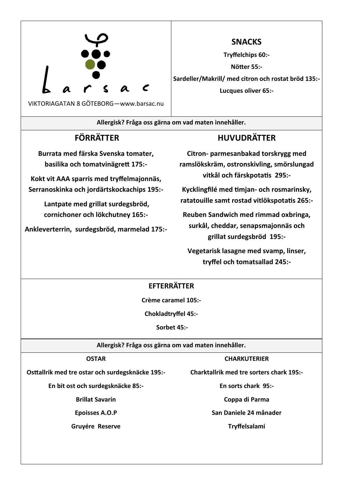

**SNACKS**

**Tryffelchips 60:-** 

**Nötter 55:-**

**Sardeller/Makrill/ med citron och rostat bröd 135:- Lucques oliver 65:-**

**Allergisk? Fråga oss gärna om vad maten innehåller.**

# **FÖRRÄTTER**

**Burrata med färska Svenska tomater, basilika och tomatvinägrett 175:-**

**Kokt vit AAA sparris med tryffelmajonnäs, Serranoskinka och jordärtskockachips 195:-**

> **Lantpate med grillat surdegsbröd, cornichoner och lökchutney 165:-**

**Ankleverterrin, surdegsbröd, marmelad 175:-** 

## **HUVUDRÄTTER**

**Citron- parmesanbakad torskrygg med ramslökskräm, ostronskivling, smörslungad vitkål och färskpotatis 295:-**

**Kycklingfilé med timjan- och rosmarinsky, ratatouille samt rostad vitlökspotatis 265:-**

**Reuben Sandwich med rimmad oxbringa, surkål, cheddar, senapsmajonnäs och grillat surdegsbröd 195:-**

**Vegetarisk lasagne med svamp, linser, tryffel och tomatsallad 245:-**

### **EFTERRÄTTER**

**Crème caramel 105:-**

**Chokladtryffel 45:-**

**Sorbet 45:-**

**Allergisk? Fråga oss gärna om vad maten innehåller.**

### **OSTAR**

**Osttallrik med tre ostar och surdegsknäcke 195:-**

**En bit ost och surdegsknäcke 85:-**

**Brillat Savarin** 

**Epoisses A.O.P**

**Gruyére Reserve** 

**CHARKUTERIER**

**Charktallrik med tre sorters chark 195:-**

**En sorts chark 95:-**

**Coppa di Parma**

**San Daniele 24 månader**

**Tryffelsalami**